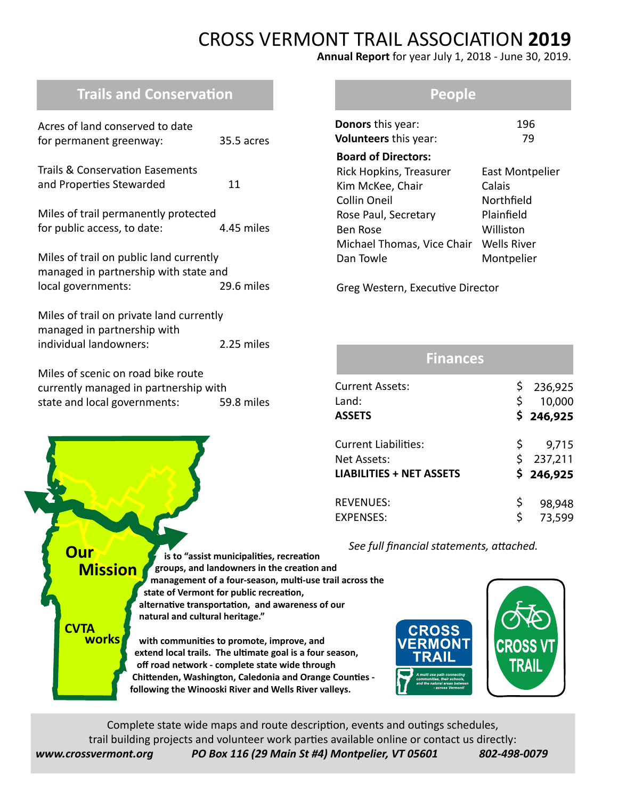# CROSS VERMONT TRAIL ASSOCIATION **2019**

**Annual Report** for year July 1, 2018 - June 30, 2019.

# **Trails and Conservation**

| Acres of land conserved to date<br>for permanent greenway:                                                  | 35.5 acres |
|-------------------------------------------------------------------------------------------------------------|------------|
| <b>Trails &amp; Conservation Easements</b><br>and Properties Stewarded                                      | 11         |
| Miles of trail permanently protected<br>for public access, to date:                                         | 4.45 miles |
| Miles of trail on public land currently<br>managed in partnership with state and<br>local governments:      | 29.6 miles |
| Miles of trail on private land currently<br>managed in partnership with<br>individual landowners:           | 2.25 miles |
| Miles of scenic on road bike route<br>currently managed in partnership with<br>state and local governments: | 59.8 miles |

#### **People**

| Donors this year:<br><b>Volunteers</b> this year: | 196<br>79       |  |  |  |  |  |
|---------------------------------------------------|-----------------|--|--|--|--|--|
| <b>Board of Directors:</b>                        |                 |  |  |  |  |  |
| Rick Hopkins, Treasurer                           | East Montpelier |  |  |  |  |  |
| Kim McKee, Chair                                  | Calais          |  |  |  |  |  |
| <b>Collin Oneil</b>                               | Northfield      |  |  |  |  |  |
| Rose Paul, Secretary                              | Plainfield      |  |  |  |  |  |
| <b>Ben Rose</b>                                   | Williston       |  |  |  |  |  |
| Michael Thomas, Vice Chair                        | Wells River     |  |  |  |  |  |
| Dan Towle                                         | Montpelier      |  |  |  |  |  |

Greg Western, Executive Director

| <b>Finances</b>                 |    |           |
|---------------------------------|----|-----------|
| Current Assets:                 | \$ | 236,925   |
| Land:                           | \$ | 10,000    |
| <b>ASSETS</b>                   |    | \$246,925 |
| Current Liabilities:            | Ş. | 9,715     |
| Net Assets:                     | \$ | 237,211   |
| <b>LIABILITIES + NET ASSETS</b> |    | \$246,925 |
|                                 |    |           |
| <b>REVENUES:</b>                | \$ | 98,948    |
| <b>EXPENSES:</b>                | Ś  | 73,599    |

 *See full financial statements, attached.*





Complete state wide maps and route description, events and outings schedules, trail building projects and volunteer work parties available online or contact us directly: *www.crossvermont.org PO Box 116 (29 Main St #4) Montpelier, VT 05601 802-498-0079*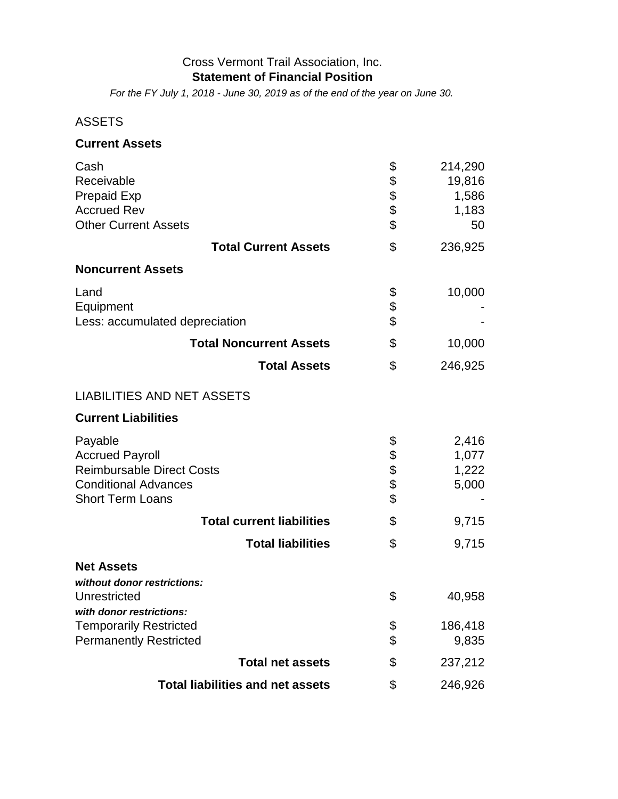#### Cross Vermont Trail Association, Inc. **Statement of Financial Position**

*For the FY July 1, 2018 - June 30, 2019 as of the end of the year on June 30.*

## ASSETS

### **Current Assets**

| Cash                                    | \$   | 214,290 |
|-----------------------------------------|------|---------|
| Receivable                              | \$   | 19,816  |
| <b>Prepaid Exp</b>                      | \$   | 1,586   |
| <b>Accrued Rev</b>                      | \$   | 1,183   |
| <b>Other Current Assets</b>             | \$   | 50      |
| <b>Total Current Assets</b>             | \$   | 236,925 |
| <b>Noncurrent Assets</b>                |      |         |
| Land                                    | \$   | 10,000  |
| Equipment                               | \$   |         |
| Less: accumulated depreciation          | \$   |         |
| <b>Total Noncurrent Assets</b>          | \$   | 10,000  |
| <b>Total Assets</b>                     | \$   | 246,925 |
| <b>LIABILITIES AND NET ASSETS</b>       |      |         |
| <b>Current Liabilities</b>              |      |         |
| Payable                                 | \$   | 2,416   |
| <b>Accrued Payroll</b>                  |      | 1,077   |
| <b>Reimbursable Direct Costs</b>        | \$\$ | 1,222   |
| <b>Conditional Advances</b>             |      | 5,000   |
| <b>Short Term Loans</b>                 | \$   |         |
| <b>Total current liabilities</b>        | \$   | 9,715   |
| <b>Total liabilities</b>                | \$   | 9,715   |
| <b>Net Assets</b>                       |      |         |
| without donor restrictions:             |      |         |
| Unrestricted                            | \$   | 40,958  |
| with donor restrictions:                |      |         |
| <b>Temporarily Restricted</b>           | \$   | 186,418 |
| <b>Permanently Restricted</b>           | \$   | 9,835   |
| <b>Total net assets</b>                 | \$   | 237,212 |
| <b>Total liabilities and net assets</b> | \$   | 246,926 |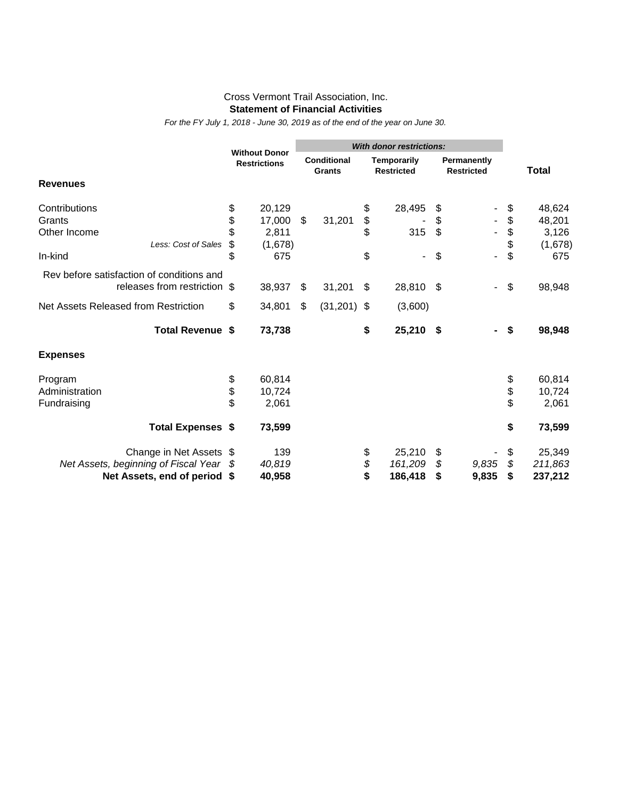#### Cross Vermont Trail Association, Inc. **Statement of Financial Activities**

*For the FY July 1, 2018 - June 30, 2019 as of the end of the year on June 30.*

|                                           |    |                                             | <b>With donor restrictions:</b> |                                     |    |                                         |     |                                  |          |              |
|-------------------------------------------|----|---------------------------------------------|---------------------------------|-------------------------------------|----|-----------------------------------------|-----|----------------------------------|----------|--------------|
|                                           |    | <b>Without Donor</b><br><b>Restrictions</b> |                                 | <b>Conditional</b><br><b>Grants</b> |    | <b>Temporarily</b><br><b>Restricted</b> |     | Permanently<br><b>Restricted</b> |          | <b>Total</b> |
| <b>Revenues</b>                           |    |                                             |                                 |                                     |    |                                         |     |                                  |          |              |
| Contributions                             | \$ | 20,129                                      |                                 |                                     | \$ | 28,495                                  | \$  |                                  | \$       | 48,624       |
| Grants                                    | \$ | 17,000                                      | \$                              | 31,201                              | \$ |                                         | \$  |                                  | \$       | 48,201       |
| Other Income                              | \$ | 2,811                                       |                                 |                                     | \$ | 315                                     | \$  |                                  | \$       | 3,126        |
| Less: Cost of Sales                       | \$ | (1,678)                                     |                                 |                                     |    |                                         |     |                                  | \$       | (1,678)      |
| In-kind                                   | \$ | 675                                         |                                 |                                     | \$ |                                         | \$  | -                                | \$       | 675          |
| Rev before satisfaction of conditions and |    |                                             |                                 |                                     |    |                                         |     |                                  |          |              |
| releases from restriction \$              |    | 38,937                                      | \$                              | 31,201                              | \$ | 28,810                                  | -\$ |                                  | \$       | 98,948       |
| Net Assets Released from Restriction      | \$ | 34,801                                      | \$                              | (31, 201)                           | \$ | (3,600)                                 |     |                                  |          |              |
| Total Revenue \$                          |    | 73,738                                      |                                 |                                     | \$ | 25,210 \$                               |     |                                  | \$       | 98,948       |
| <b>Expenses</b>                           |    |                                             |                                 |                                     |    |                                         |     |                                  |          |              |
| Program                                   | \$ | 60,814                                      |                                 |                                     |    |                                         |     |                                  | \$       | 60,814       |
| Administration                            | \$ | 10,724                                      |                                 |                                     |    |                                         |     |                                  | \$<br>\$ | 10,724       |
| Fundraising                               | \$ | 2,061                                       |                                 |                                     |    |                                         |     |                                  |          | 2,061        |
| <b>Total Expenses \$</b>                  |    | 73,599                                      |                                 |                                     |    |                                         |     |                                  | \$       | 73,599       |
| Change in Net Assets \$                   |    | 139                                         |                                 |                                     | \$ | 25,210                                  | \$  |                                  | \$       | 25,349       |
| Net Assets, beginning of Fiscal Year      |    | 40,819                                      |                                 |                                     | \$ | 161,209                                 | \$  | 9,835                            | \$       | 211,863      |
| Net Assets, end of period                 | \$ | 40,958                                      |                                 |                                     | \$ | 186,418                                 | \$  | 9,835                            | \$       | 237,212      |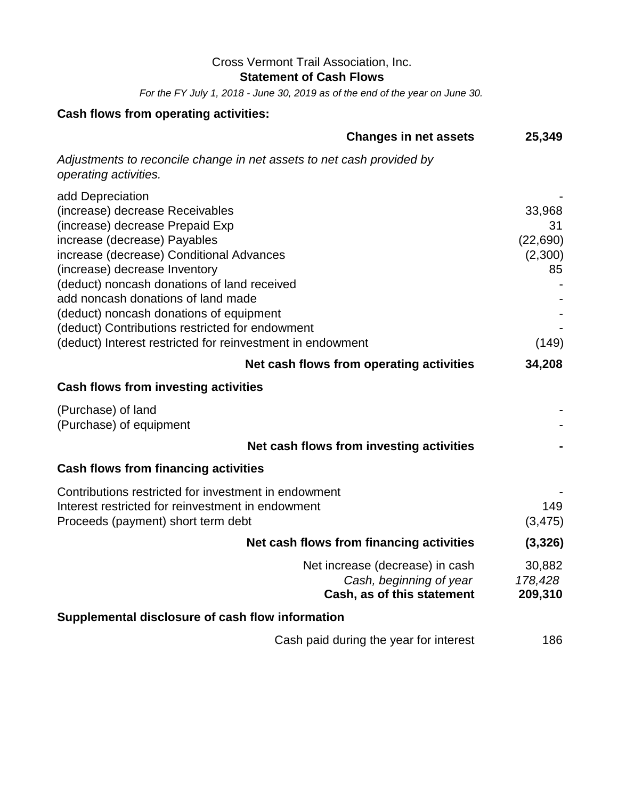## Cross Vermont Trail Association, Inc.

**Statement of Cash Flows**

*For the FY July 1, 2018 - June 30, 2019 as of the end of the year on June 30.*

# **Cash flows from operating activities:**

| <b>Changes in net assets</b>                                                                                                                                                                                                                                                                                                                                                                                                                         | 25,349                                              |
|------------------------------------------------------------------------------------------------------------------------------------------------------------------------------------------------------------------------------------------------------------------------------------------------------------------------------------------------------------------------------------------------------------------------------------------------------|-----------------------------------------------------|
| Adjustments to reconcile change in net assets to net cash provided by<br>operating activities.                                                                                                                                                                                                                                                                                                                                                       |                                                     |
| add Depreciation<br>(increase) decrease Receivables<br>(increase) decrease Prepaid Exp<br>increase (decrease) Payables<br>increase (decrease) Conditional Advances<br>(increase) decrease Inventory<br>(deduct) noncash donations of land received<br>add noncash donations of land made<br>(deduct) noncash donations of equipment<br>(deduct) Contributions restricted for endowment<br>(deduct) Interest restricted for reinvestment in endowment | 33,968<br>31<br>(22, 690)<br>(2,300)<br>85<br>(149) |
| Net cash flows from operating activities                                                                                                                                                                                                                                                                                                                                                                                                             | 34,208                                              |
| <b>Cash flows from investing activities</b>                                                                                                                                                                                                                                                                                                                                                                                                          |                                                     |
| (Purchase) of land<br>(Purchase) of equipment                                                                                                                                                                                                                                                                                                                                                                                                        |                                                     |
| Net cash flows from investing activities                                                                                                                                                                                                                                                                                                                                                                                                             |                                                     |
| <b>Cash flows from financing activities</b>                                                                                                                                                                                                                                                                                                                                                                                                          |                                                     |
| Contributions restricted for investment in endowment<br>Interest restricted for reinvestment in endowment<br>Proceeds (payment) short term debt                                                                                                                                                                                                                                                                                                      | 149<br>(3, 475)                                     |
| Net cash flows from financing activities                                                                                                                                                                                                                                                                                                                                                                                                             | (3,326)                                             |
| Net increase (decrease) in cash<br>Cash, beginning of year<br>Cash, as of this statement                                                                                                                                                                                                                                                                                                                                                             | 30,882<br>178,428<br>209,310                        |
| Supplemental disclosure of cash flow information                                                                                                                                                                                                                                                                                                                                                                                                     |                                                     |
| Cash paid during the year for interest                                                                                                                                                                                                                                                                                                                                                                                                               | 186                                                 |